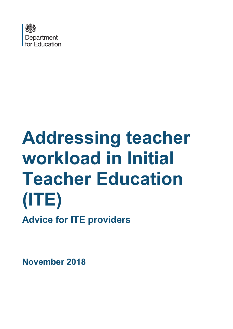

# **Addressing teacher workload in Initial Teacher Education (ITE) Advice for ITE providers**

**November 2018**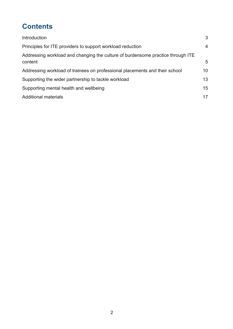# **Contents**

| Introduction                                                                               | 3               |
|--------------------------------------------------------------------------------------------|-----------------|
| Principles for ITE providers to support workload reduction                                 | 4               |
| Addressing workload and changing the culture of burdensome practice through ITE<br>content | 5               |
| Addressing workload of trainees on professional placements and their school                | 10 <sup>°</sup> |
| Supporting the wider partnership to tackle workload                                        | 13              |
| Supporting mental health and wellbeing                                                     | 15              |
| <b>Additional materials</b>                                                                | 17              |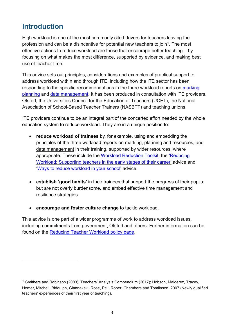## <span id="page-2-0"></span>**Introduction**

 $\overline{a}$ 

High workload is one of the most commonly cited drivers for teachers leaving the profession and can be a disincentive for potential new teachers to join<sup>1</sup>. The most effective actions to reduce workload are those that encourage better teaching – by focusing on what makes the most difference, supported by evidence, and making best use of teacher time.

This advice sets out principles, considerations and examples of practical support to address workload within and through ITE, including how the ITE sector has been responding to the specific recommendations in the three workload reports on [marking,](https://www.gov.uk/government/uploads/system/uploads/attachment_data/file/511256/Eliminating-unnecessary-workload-around-marking.pdf) [planning](https://www.gov.uk/government/uploads/system/uploads/attachment_data/file/511257/Eliminating-unnecessary-workload-around-planning-and-teaching-resources.pdf) and [data management.](https://www.gov.uk/government/uploads/system/uploads/attachment_data/file/511258/Eliminating-unnecessary-workload-associated-with-data-management.pdf) It has been produced in consultation with ITE providers, Ofsted, the Universities Council for the Education of Teachers (UCET), the National Association of School-Based Teacher Trainers (NASBTT) and teaching unions.

ITE providers continue to be an integral part of the concerted effort needed by the whole education system to reduce workload. They are in a unique position to:

- **reduce workload of trainees** by, for example, using and embedding the principles of the three workload reports on [marking,](https://www.gov.uk/government/groups/teacher-workload-marking-policy-review-group) [planning and resources,](https://www.gov.uk/government/groups/teacher-workload-planning-and-resources-review-group) and [data management](https://www.gov.uk/government/groups/teacher-workload-data-management-review-group) in their training, supported by wider resources, where appropriate. These include the [Workload Reduction Toolkit,](https://www.gov.uk/guidance/reducing-workload-in-your-school) the 'Reducing Workload: Supporting teachers in the early stages of their career' advice and ['Ways to reduce workload in your school'](https://www.gov.uk/government/publications/ways-to-reduce-workload-in-your-school-tips-from-school-leaders) advice.
- **establish 'good habits'** in their trainees that support the progress of their pupils but are not overly burdensome, and embed effective time management and resilience strategies.
- **encourage and foster culture change** to tackle workload.

This advice is one part of a wider programme of work to address workload issues, including commitments from government, Ofsted and others. Further information can be found on the [Reducing Teacher Workload policy page.](https://www.gov.uk/government/publications/reducing-teachers-workload/reducing-teachers-workload)

<span id="page-2-1"></span><sup>&</sup>lt;sup>1</sup> Smithers and Robinson (2003); Teachers' Analysis Compendium (2017); Hobson, Malderez, Tracey, Homer, Mitchell, Biddulph, Giannakaki, Rose, Pell, Roper, Chambers and Tomlinson, 2007 (Newly qualified teachers' experiences of their first year of teaching).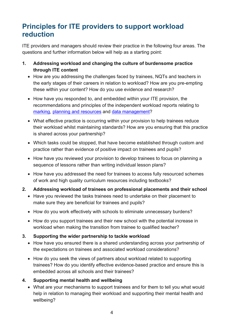## <span id="page-3-0"></span>**Principles for ITE providers to support workload reduction**

ITE providers and managers should review their practice in the following four areas. The questions and further information below will help as a starting point:

- **1. Addressing workload and changing the culture of burdensome practice through ITE content**
	- How are you addressing the challenges faced by trainees, NQTs and teachers in the early stages of their careers in relation to workload? How are you pre-empting these within your content? How do you use evidence and research?
	- How have you responded to, and embedded within your ITE provision, the recommendations and principles of the independent workload reports relating to [marking,](https://www.gov.uk/government/publications/reducing-teacher-workload-marking-policy-review-group-report) [planning and resources](https://www.gov.uk/government/publications/reducing-teacher-workload-planning-and-resources-group-report) and [data management?](https://www.gov.uk/government/publications/reducing-teacher-workload-data-management-review-group-report)
	- What effective practice is occurring within your provision to help trainees reduce their workload whilst maintaining standards? How are you ensuring that this practice is shared across your partnership?
	- Which tasks could be stopped, that have become established through custom and practice rather than evidence of positive impact on trainees and pupils?
	- How have you reviewed your provision to develop trainees to focus on planning a sequence of lessons rather than writing individual lesson plans?
	- How have you addressed the need for trainees to access fully resourced schemes of work and high quality curriculum resources including textbooks?
- **2. Addressing workload of trainees on professional placements and their school**
	- Have you reviewed the tasks trainees need to undertake on their placement to make sure they are beneficial for trainees and pupils?
	- How do you work effectively with schools to eliminate unnecessary burdens?
	- How do you support trainees and their new school with the potential increase in workload when making the transition from trainee to qualified teacher?
- **3. Supporting the wider partnership to tackle workload**
	- How have you ensured there is a shared understanding across your partnership of the expectations on trainees and associated workload considerations?
	- How do you seek the views of partners about workload related to supporting trainees? How do you identify effective evidence-based practice and ensure this is embedded across all schools and their trainees?

#### **4. Supporting mental health and wellbeing**

• What are your mechanisms to support trainees and for them to tell you what would help in relation to managing their workload and supporting their mental health and wellbeing?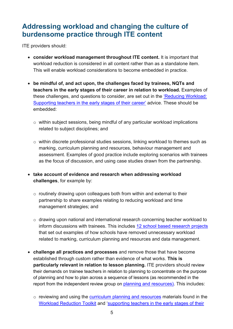## <span id="page-4-0"></span>**Addressing workload and changing the culture of burdensome practice through ITE content**

ITE providers should:

- **consider workload management throughout ITE content.** It is important that workload reduction is considered in all content rather than as a standalone item. This will enable workload considerations to become embedded in practice.
- **be mindful of, and act upon, the challenges faced by trainees, NQTs and teachers in the early stages of their career in relation to workload.** Examples of these challenges, and questions to consider, are set out in the ['Reducing Workload:](https://www.gov.uk/government/publications/supporting-early-career-teachers-reducing-teacher-workload)  [Supporting teachers in the early stages of their career'](https://www.gov.uk/government/publications/supporting-early-career-teachers-reducing-teacher-workload) advice. These should be embedded:
	- o within subject sessions, being mindful of any particular workload implications related to subject disciplines; and
	- o within discrete professional studies sessions, linking workload to themes such as marking, curriculum planning and resources, behaviour management and assessment. Examples of good practice include exploring scenarios with trainees as the focus of discussion, and using case studies drawn from the partnership.
- **take account of evidence and research when addressing workload challenges**, for example by:
	- $\circ$  routinely drawing upon colleagues both from within and external to their partnership to share examples relating to reducing workload and time management strategies; and
	- o drawing upon national and international research concerning teacher workload to inform discussions with trainees. This includes [12 school based research projects](https://www.gov.uk/government/publications/teacher-workload-challenge-school-research-project-reports) that set out examples of how schools have removed unnecessary workload related to marking, curriculum planning and resources and data management.
- **challenge all practices and processes** and remove those that have become established through custom rather than evidence of what works. **This is particularly relevant in relation to lesson planning.** ITE providers should review their demands on trainee teachers in relation to planning to concentrate on the purpose of planning and how to plan across a sequence of lessons (as recommended in the report from the independent review group on [planning and resources\)](https://www.gov.uk/government/publications/reducing-teacher-workload-planning-and-resources-group-report). This includes:
	- $\circ$  reviewing and using the [curriculum planning and resources](https://www.gov.uk/government/publications/curriculum-planning-and-resources-reducing-teacher-workload) materials found in the [Workload Reduction Toolkit](https://www.gov.uk/guidance/reducing-workload-in-your-school) and 'supporting teachers in the early stages of their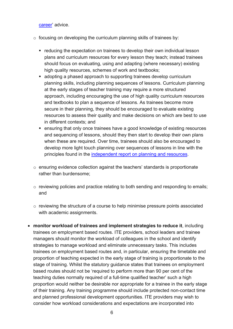[career'](https://www.gov.uk/government/publications/supporting-early-career-teachers-reducing-teacher-workload) advice.

- $\circ$  focusing on developing the curriculum planning skills of trainees by:
	- reducing the expectation on trainees to develop their own individual lesson plans and curriculum resources for every lesson they teach; instead trainees should focus on evaluating, using and adapting (where necessary) existing high quality resources, schemes of work and textbooks;
	- adopting a phased approach to supporting trainees develop curriculum planning skills, including planning sequences of lessons. Curriculum planning at the early stages of teacher training may require a more structured approach, including encouraging the use of high quality curriculum resources and textbooks to plan a sequence of lessons. As trainees become more secure in their planning, they should be encouraged to evaluate existing resources to assess their quality and make decisions on which are best to use in different contexts; and
	- ensuring that only once trainees have a good knowledge of existing resources and sequencing of lessons, should they then start to develop their own plans when these are required. Over time, trainees should also be encouraged to develop more light touch planning over sequences of lessons in line with the principles found in the [independent report on planning and resources.](file:///C:%5CUsers%5Ctwatson%5CAppData%5CLocal%5CMicrosoft%5CWindows%5CINetCache%5CContent.Outlook%5C0CF74P13%5Coonly%20once%20trainees%20have%20a%20good%20knowledge%20of%20existing%20resources%20and%20sequencing%20lessons,%20they%20should%20then%20start%20to%20decelop%20their%20own%20resources%20when%20these%20are%20required.%20Over%20time,%20trainees%20should%20also%20be%20encouraged%20to%20develop%20more%20light%20touch%20planning%20over%20sequences%20of%20lessons%20in%20line%20with%20the%20Independent%20report%20on%20planning%20and%20resources.)
- $\circ$  ensuring evidence collection against the teachers' standards is proportionate rather than burdensome;
- o reviewing policies and practice relating to both sending and responding to emails; and
- o reviewing the structure of a course to help minimise pressure points associated with academic assignments.
- **monitor workload of trainees and implement strategies to reduce it**, including trainees on employment based routes. ITE providers, school leaders and trainee managers should monitor the workload of colleagues in the school and identify strategies to manage workload and eliminate unnecessary tasks. This includes trainees on employment based routes and, in particular, ensuring the timetable and proportion of teaching expected in the early stage of training is proportionate to the stage of training. Whilst the statutory guidance states that trainees on employment based routes should not be 'required to perform more than 90 per cent of the teaching duties normally required of a full-time qualified teacher' such a high proportion would neither be desirable nor appropriate for a trainee in the early stage of their training. Any training programme should include protected non-contact time and planned professional development opportunities. ITE providers may wish to consider how workload considerations and expectations are incorporated into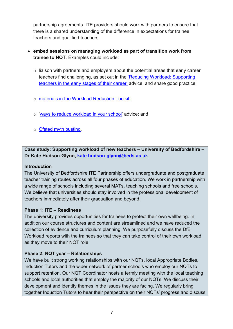partnership agreements. ITE providers should work with partners to ensure that there is a shared understanding of the difference in expectations for trainee teachers and qualified teachers.

#### • **embed sessions on managing workload as part of transition work from trainee to NQT**. Examples could include:

- $\circ$  liaison with partners and employers about the potential areas that early career teachers find challenging, as set out in the ['Reducing Workload: Supporting](https://www.gov.uk/government/publications/supporting-early-career-teachers-reducing-teacher-workload)  [teachers in the early stages of their career'](https://www.gov.uk/government/publications/supporting-early-career-teachers-reducing-teacher-workload) advice, and share good practice;
- o materials in the [Workload Reduction Toolkit;](https://www.gov.uk/guidance/reducing-workload-in-your-school)
- o ['ways to reduce workload in your school'](https://www.gov.uk/government/publications/ways-to-reduce-workload-in-your-school-tips-from-school-leaders) advice; and
- o [Ofsted myth busting.](https://www.gov.uk/government/publications/school-inspection-handbook-from-september-2015/ofsted-inspections-mythbusting)

**Case study: Supporting workload of new teachers – University of Bedfordshire – Dr Kate Hudson-Glynn, [kate.hudson-glynn@beds.ac.uk](mailto:kate.hudson-glynn@beds.ac.uk)**

#### **Introduction**

The University of Bedfordshire ITE Partnership offers undergraduate and postgraduate teacher training routes across all four phases of education. We work in partnership with a wide range of schools including several MATs, teaching schools and free schools. We believe that universities should stay involved in the professional development of teachers immediately after their graduation and beyond.

#### **Phase 1: ITE – Readiness**

The university provides opportunities for trainees to protect their own wellbeing. In addition our course structures and content are streamlined and we have reduced the collection of evidence and curriculum planning. We purposefully discuss the DfE Workload reports with the trainees so that they can take control of their own workload as they move to their NQT role.

#### **Phase 2: NQT year – Relationships**

We have built strong working relationships with our NQTs, local Appropriate Bodies, Induction Tutors and the wider network of partner schools who employ our NQTs to support retention. Our NQT Coordinator hosts a termly meeting with the local teaching schools and local authorities that employ the majority of our NQTs. We discuss their development and identify themes in the issues they are facing. We regularly bring together Induction Tutors to hear their perspective on their NQTs' progress and discuss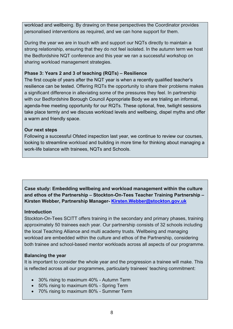workload and wellbeing. By drawing on these perspectives the Coordinator provides personalised interventions as required, and we can hone support for them.

During the year we are in touch with and support our NQTs directly to maintain a strong relationship, ensuring that they do not feel isolated. In the autumn term we host the Bedfordshire NQT conference and this year we ran a successful workshop on sharing workload management strategies.

#### **Phase 3: Years 2 and 3 of teaching (RQTs) – Resilience**

The first couple of years after the NQT year is when a recently qualified teacher's resilience can be tested. Offering RQTs the opportunity to share their problems makes a significant difference in alleviating some of the pressures they feel. In partnership with our Bedfordshire Borough Council Appropriate Body we are trialing an informal, agenda-free meeting opportunity for our RQTs. These optional, free, twilight sessions take place termly and we discuss workload levels and wellbeing, dispel myths and offer a warm and friendly space.

#### **Our next steps**

Following a successful Ofsted inspection last year, we continue to review our courses, looking to streamline workload and building in more time for thinking about managing a work-life balance with trainees, NQTs and Schools.

**Case study: Embedding wellbeing and workload management within the culture and ethos of the Partnership – Stockton-On-Tees Teacher Training Partnership – Kirsten Webber, Partnership Manager- [Kirsten.Webber@stockton.gov.uk](mailto:Kirsten.Webber@stockton.gov.uk)**

#### **Introduction**

Stockton-On-Tees SCITT offers training in the secondary and primary phases, training approximately 50 trainees each year. Our partnership consists of 32 schools including the local Teaching Alliance and multi academy trusts. Wellbeing and managing workload are embedded within the culture and ethos of the Partnership, considering both trainee and school-based mentor workloads across all aspects of our programme.

#### **Balancing the year**

It is important to consider the whole year and the progression a trainee will make. This is reflected across all our programmes, particularly trainees' teaching commitment:

- 30% rising to maximum 40% Autumn Term
- 50% rising to maximum 60% Spring Term
- 70% rising to maximum 80% Summer Term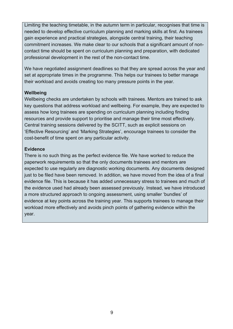Limiting the teaching timetable, in the autumn term in particular, recognises that time is needed to develop effective curriculum planning and marking skills at first. As trainees gain experience and practical strategies, alongside central training, their teaching commitment increases. We make clear to our schools that a significant amount of noncontact time should be spent on curriculum planning and preparation, with dedicated professional development in the rest of the non-contact time.

We have negotiated assignment deadlines so that they are spread across the year and set at appropriate times in the programme. This helps our trainees to better manage their workload and avoids creating too many pressure points in the year.

#### **Wellbeing**

Wellbeing checks are undertaken by schools with trainees. Mentors are trained to ask key questions that address workload and wellbeing. For example, they are expected to assess how long trainees are spending on curriculum planning including finding resources and provide support to prioritise and manage their time most effectively. Central training sessions delivered by the SCITT, such as explicit sessions on 'Effective Resourcing' and 'Marking Strategies', encourage trainees to consider the cost-benefit of time spent on any particular activity.

#### **Evidence**

There is no such thing as the perfect evidence file. We have worked to reduce the paperwork requirements so that the only documents trainees and mentors are expected to use regularly are diagnostic working documents. Any documents designed just to be filed have been removed. In addition, we have moved from the idea of a final evidence file. This is because it has added unnecessary stress to trainees and much of the evidence used had already been assessed previously. Instead, we have introduced a more structured approach to ongoing assessment, using smaller 'bundles' of evidence at key points across the training year. This supports trainees to manage their workload more effectively and avoids pinch points of gathering evidence within the year.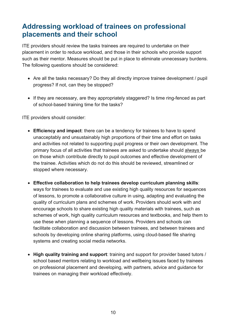## <span id="page-9-0"></span>**Addressing workload of trainees on professional placements and their school**

ITE providers should review the tasks trainees are required to undertake on their placement in order to reduce workload, and those in their schools who provide support such as their mentor. Measures should be put in place to eliminate unnecessary burdens. The following questions should be considered:

- Are all the tasks necessary? Do they all directly improve trainee development / pupil progress? If not, can they be stopped?
- If they are necessary, are they appropriately staggered? Is time ring-fenced as part of school-based training time for the tasks?

ITE providers should consider:

- **Efficiency and impact**: there can be a tendency for trainees to have to spend unacceptably and unsustainably high proportions of their time and effort on tasks and activities not related to supporting pupil progress or their own development. The primary focus of all activities that trainees are asked to undertake should always be on those which contribute directly to pupil outcomes and effective development of the trainee. Activities which do not do this should be reviewed, streamlined or stopped where necessary.
- **Effective collaboration to help trainees develop curriculum planning skills**: ways for trainees to evaluate and use existing high quality resources for sequences of lessons, to promote a collaborative culture in using, adapting and evaluating the quality of curriculum plans and schemes of work. Providers should work with and encourage schools to share existing high quality materials with trainees, such as schemes of work, high quality curriculum resources and textbooks, and help them to use these when planning a sequence of lessons. Providers and schools can facilitate collaboration and discussion between trainees, and between trainees and schools by developing online sharing platforms, using cloud-based file sharing systems and creating social media networks.
- **High quality training and support**: training and support for provider based tutors / school based mentors relating to workload and wellbeing issues faced by trainees on professional placement and developing, with partners, advice and guidance for trainees on managing their workload effectively.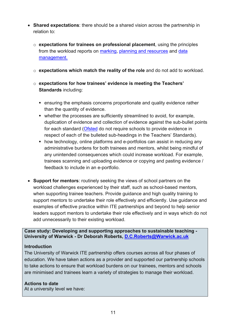- **Shared expectations**: there should be a shared vision across the partnership in relation to:
	- o **expectations for trainees on professional placement**, using the principles from the workload reports on [marking,](https://www.gov.uk/government/publications/reducing-teacher-workload-marking-policy-review-group-report) [planning and resources](https://www.gov.uk/government/publications/reducing-teacher-workload-planning-and-resources-group-report) and data [management.](https://www.gov.uk/government/publications/reducing-teacher-workload-data-management-review-group-report)
	- o **expectations which match the reality of the role** and do not add to workload.
	- o **expectations for how trainees' evidence is meeting the Teachers' Standards** including:
		- ensuring the emphasis concerns proportionate and quality evidence rather than the quantity of evidence.
		- whether the processes are sufficiently streamlined to avoid, for example, duplication of evidence and collection of evidence against the sub-bullet points for each standard [\(Ofsted](https://www.gov.uk/government/publications/school-inspection-handbook-from-september-2015/ofsted-inspections-mythbusting) do not require schools to provide evidence in respect of each of the bulleted sub-headings in the Teachers' Standards).
		- **how technology, online platforms and e-portfolios can assist in reducing any** administrative burdens for both trainees and mentors, whilst being mindful of any unintended consequences which could increase workload. For example, trainees scanning and uploading evidence or copying and pasting evidence / feedback to include in an e-portfolio.
- **Support for mentors**: routinely seeking the views of school partners on the workload challenges experienced by their staff, such as school-based mentors, when supporting trainee teachers. Provide guidance and high quality training to support mentors to undertake their role effectively and efficiently. Use guidance and examples of effective practice within ITE partnerships and beyond to help senior leaders support mentors to undertake their role effectively and in ways which do not add unnecessarily to their existing workload.

**Case study: Developing and supporting approaches to sustainable teaching - University of Warwick - Dr Deborah Roberts, [D.C.Roberts@Warwick.ac.uk](mailto:D.C.Roberts@Warwick.ac.uk)** 

#### **Introduction**

The University of Warwick ITE partnership offers courses across all four phases of education. We have taken actions as a provider and supported our partnership schools to take actions to ensure that workload burdens on our trainees, mentors and schools are minimised and trainees learn a variety of strategies to manage their workload.

#### **Actions to date**

At a university level we have: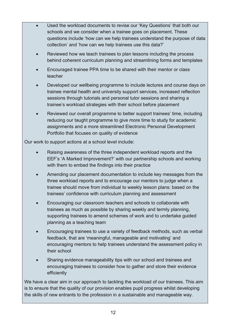- Used the workload documents to revise our 'Key Questions' that both our schools and we consider when a trainee goes on placement. These questions include 'how can we help trainees understand the purpose of data collection' and 'how can we help trainees use this data?'
- Reviewed how we teach trainees to plan lessons including the process behind coherent curriculum planning and streamlining forms and templates
- Encouraged trainee PPA time to be shared with their mentor or class teacher
- Developed our wellbeing programme to include lectures and course days on trainee mental health and university support services, increased reflection sessions through tutorials and personal tutor sessions and sharing a trainee's workload strategies with their school before placement
- Reviewed our overall programme to better support trainees' time, including reducing our taught programme to give more time to study for academic assignments and a more streamlined Electronic Personal Development Portfolio that focuses on quality of evidence

Our work to support actions at a school level include:

- Raising awareness of the three independent workload reports and the EEF's 'A Marked Improvement?' with our partnership schools and working with them to embed the findings into their practice
- Amending our placement documentation to include key messages from the three workload reports and to encourage our mentors to judge when a trainee should move from individual to weekly lesson plans: based on the trainees' confidence with curriculum planning and assessment
- Encouraging our classroom teachers and schools to collaborate with trainees as much as possible by sharing weekly and termly planning, supporting trainees to amend schemes of work and to undertake guided planning as a teaching team
- Encouraging trainees to use a variety of feedback methods, such as verbal feedback, that are 'meaningful, manageable and motivating' and encouraging mentors to help trainees understand the assessment policy in their school
- Sharing evidence manageability tips with our school and trainees and encouraging trainees to consider how to gather and store their evidence efficiently

We have a clear aim in our approach to tackling the workload of our trainees. This aim is to ensure that the quality of our provision enables pupil progress whilst developing the skills of new entrants to the profession in a sustainable and manageable way.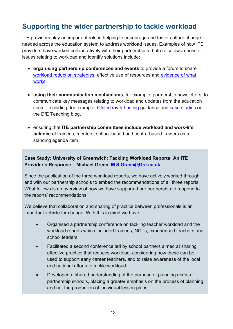## <span id="page-12-0"></span>**Supporting the wider partnership to tackle workload**

ITE providers play an important role in helping to encourage and foster culture change needed across the education system to address workload issues. Examples of how ITE providers have worked collaboratively with their partnership to both raise awareness of issues relating to workload and identify solutions include:

- **organising partnership conferences and events** to provide a forum to share [workload reduction strategies,](https://www.gov.uk/guidance/reducing-workload-in-your-school) effective use of resources and [evidence of what](https://www.gov.uk/government/publications/workload-challenge-research-projects-summary-report-2018)  [works.](https://www.gov.uk/government/publications/workload-challenge-research-projects-summary-report-2018)
- **using their communication mechanisms**, for example, partnership newsletters, to communicate key messages relating to workload and updates from the education sector, including, for example, [Ofsted myth-busting](https://www.gov.uk/government/publications/school-inspection-handbook-from-september-2015/ofsted-inspections-mythbusting) guidance and [case studies](https://teaching.blog.gov.uk/category/workload-challenge/) on the DfE Teaching blog.
- ensuring that **ITE partnership committees include workload and work-life balance** of trainees, mentors, school-based and centre-based trainers as a standing agenda item.

**Case Study: University of Greenwich: Tackling Workload Reports: An ITE Provider's Response – Michael Green, [M.S.Green@Gre.ac.uk](mailto:M.S.Green@Gre.ac.uk)** 

Since the publication of the three workload reports, we have actively worked through and with our partnership schools to embed the recommendations of all three reports. What follows is an overview of how we have supported our partnership to respond to the reports' recommendations.

We believe that collaboration and sharing of practice between professionals is an important vehicle for change. With this in mind we have:

- Organised a partnership conference on tackling teacher workload and the workload reports which included trainees, NQTs, experienced teachers and school leaders
- Facilitated a second conference led by school partners aimed at sharing effective practice that reduces workload, considering how these can be used to support early career teachers, and to raise awareness of the local and national efforts to tackle workload
- Developed a shared understanding of the purpose of planning across partnership schools, placing a greater emphasis on the process of planning and not the production of individual lesson plans.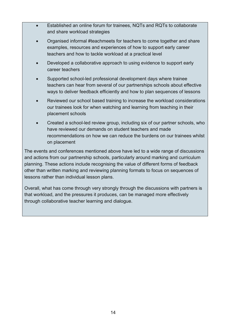- Established an online forum for trainees, NQTs and RQTs to collaborate and share workload strategies
- Organised informal #teachmeets for teachers to come together and share examples, resources and experiences of how to support early career teachers and how to tackle workload at a practical level
- Developed a collaborative approach to using evidence to support early career teachers
- Supported school-led professional development days where trainee teachers can hear from several of our partnerships schools about effective ways to deliver feedback efficiently and how to plan sequences of lessons
- Reviewed our school based training to increase the workload considerations our trainees look for when watching and learning from teaching in their placement schools
- Created a school-led review group, including six of our partner schools, who have reviewed our demands on student teachers and made recommendations on how we can reduce the burdens on our trainees whilst on placement

The events and conferences mentioned above have led to a wide range of discussions and actions from our partnership schools, particularly around marking and curriculum planning. These actions include recognising the value of different forms of feedback other than written marking and reviewing planning formats to focus on sequences of lessons rather than individual lesson plans.

Overall, what has come through very strongly through the discussions with partners is that workload, and the pressures it produces, can be managed more effectively through collaborative teacher learning and dialogue.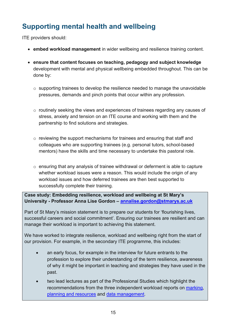# <span id="page-14-0"></span>**Supporting mental health and wellbeing**

ITE providers should:

- **embed workload management** in wider wellbeing and resilience training content.
- **ensure that content focuses on teaching, pedagogy and subject knowledge**  development with mental and physical wellbeing embedded throughout. This can be done by:
	- $\circ$  supporting trainees to develop the resilience needed to manage the unavoidable pressures, demands and pinch points that occur within any profession.
	- $\circ$  routinely seeking the views and experiences of trainees regarding any causes of stress, anxiety and tension on an ITE course and working with them and the partnership to find solutions and strategies.
	- $\circ$  reviewing the support mechanisms for trainees and ensuring that staff and colleagues who are supporting trainees (e.g. personal tutors, school-based mentors) have the skills and time necessary to undertake this pastoral role.
	- $\circ$  ensuring that any analysis of trainee withdrawal or deferment is able to capture whether workload issues were a reason. This would include the origin of any workload issues and how deferred trainees are then best supported to successfully complete their training.

**Case study: Embedding resilience, workload and wellbeing at St Mary's University - Professor Anna Lise Gordon – [annalise.gordon@stmarys.ac.uk](mailto:annalise.gordon@stmarys.ac.uk)** 

Part of St Mary's mission statement is to prepare our students for 'flourishing lives, successful careers and social commitment'. Ensuring our trainees are resilient and can manage their workload is important to achieving this statement.

We have worked to integrate resilience, workload and wellbeing right from the start of our provision. For example, in the secondary ITE programme, this includes:

- an early focus, for example in the interview for future entrants to the profession to explore their understanding of the term resilience, awareness of why it might be important in teaching and strategies they have used in the past.
- two lead lectures as part of the Professional Studies which highlight the recommendations from the three independent workload reports on [marking,](https://www.gov.uk/government/publications/reducing-teacher-workload-marking-policy-review-group-report) [planning and resources](https://www.gov.uk/government/publications/reducing-teacher-workload-planning-and-resources-group-report) and [data management.](https://www.gov.uk/government/publications/reducing-teacher-workload-data-management-review-group-report)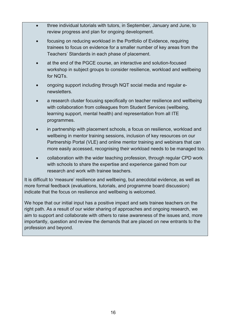- three individual tutorials with tutors, in September, January and June, to review progress and plan for ongoing development.
- focusing on reducing workload in the Portfolio of Evidence, requiring trainees to focus on evidence for a smaller number of key areas from the Teachers' Standards in each phase of placement.
- at the end of the PGCE course, an interactive and solution-focused workshop in subject groups to consider resilience, workload and wellbeing for NQTs.
- ongoing support including through NQT social media and regular enewsletters.
- a research cluster focusing specifically on teacher resilience and wellbeing with collaboration from colleagues from Student Services (wellbeing, learning support, mental health) and representation from all ITE programmes.
- in partnership with placement schools, a focus on resilience, workload and wellbeing in mentor training sessions, inclusion of key resources on our Partnership Portal (VLE) and online mentor training and webinars that can more easily accessed, recognising their workload needs to be managed too.
- collaboration with the wider teaching profession, through regular CPD work with schools to share the expertise and experience gained from our research and work with trainee teachers.

It is difficult to 'measure' resilience and wellbeing, but anecdotal evidence, as well as more formal feedback (evaluations, tutorials, and programme board discussion) indicate that the focus on resilience and wellbeing is welcomed.

We hope that our initial input has a positive impact and sets trainee teachers on the right path. As a result of our wider sharing of approaches and ongoing research, we aim to support and collaborate with others to raise awareness of the issues and, more importantly, question and review the demands that are placed on new entrants to the profession and beyond.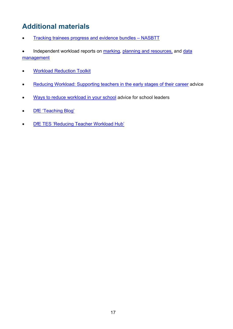# <span id="page-16-0"></span>**Additional materials**

- [Tracking trainees progress and evidence bundles NASBTT](http://www.nasbtt.org.uk/wp-content/uploads/Evidence-bundles-Overview-Final-1.pdf)
- Independent workload reports on [marking,](https://www.gov.uk/government/groups/teacher-workload-marking-policy-review-group) [planning and resources,](https://www.gov.uk/government/groups/teacher-workload-planning-and-resources-review-group) and data [management](https://www.gov.uk/government/groups/teacher-workload-data-management-review-group)
- [Workload Reduction Toolkit](https://www.gov.uk/guidance/reducing-workload-in-your-school)
- [Reducing Workload: Supporting teachers in the early stages of their career](https://www.gov.uk/government/publications/supporting-early-career-teachers-reducing-teacher-workload) advice
- [Ways to reduce workload in your school](https://www.gov.uk/government/publications/ways-to-reduce-workload-in-your-school-tips-from-school-leaders) advice for school leaders
- DfE 'Teaching Blog'
- [DfE TES 'Reducing Teacher Workload Hub'](https://www.tes.com/dfe-teacher-workload)